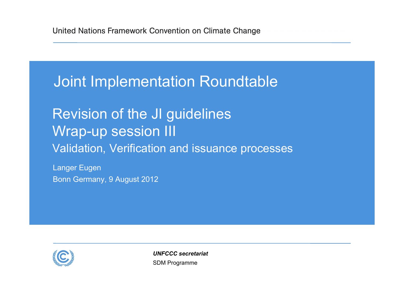## Joint Implementation Roundtable

Revision of the JI guidelines Wrap-up session III Validation, Verification and issuance processes

Langer Eugen Bonn Germany, 9 August 2012



SDM Programme *UNFCCC secretariat*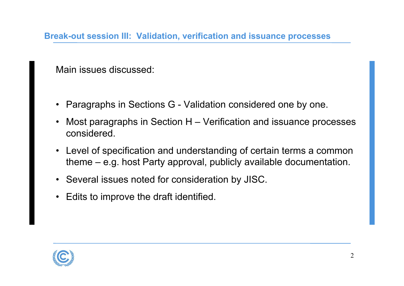**Break-out session III: Validation, verification and issuance processes**

Main issues discussed:

- Paragraphs in Sections G Validation considered one by one.
- • Most paragraphs in Section H – Verification and issuance processes considered.
- Level of specification and understanding of certain terms a common theme – e.g. host Party approval, publicly available documentation.
- Several issues noted for consideration by JISC.
- Edits to improve the draft identified.